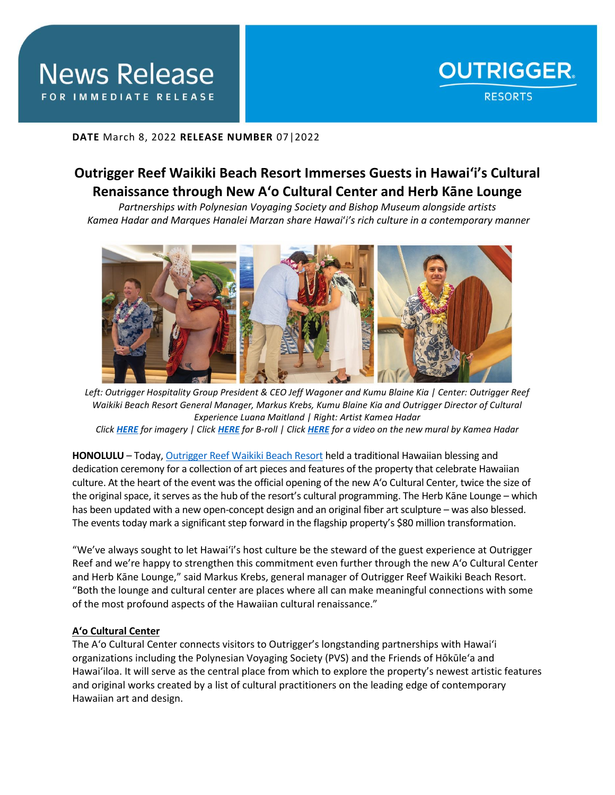

## **DATE** March 8, 2022 **RELEASE NUMBER** 07|2022

# **Outrigger Reef Waikiki Beach Resort Immerses Guests in Hawai'i's Cultural Renaissance through New A'o Cultural Center and Herb Kāne Lounge**

*Partnerships with Polynesian Voyaging Society and Bishop Museum alongside artists Kamea Hadar and Marques Hanalei Marzan share Hawai*'*i's rich culture in a contemporary manner*



*Left: Outrigger Hospitality Group President & CEO Jeff Wagoner and Kumu Blaine Kia | Center: Outrigger Reef Waikiki Beach Resort General Manager, Markus Krebs, Kumu Blaine Kia and Outrigger Director of Cultural Experience Luana Maitland | Right: Artist Kamea Hadar Click [HERE](https://app.box.com/s/jceydfl7zshflipnhrtdam5s4kz91i9b) for imagery | Click [HERE](https://f.io/BqerwtVh) for B-roll | Click [HERE](https://app.box.com/s/s62eejlq5bps5b4l53btia8i5iw074br) for a video on the new mural by Kamea Hadar*

**HONOLULU** – Today, [Outrigger Reef Waikiki Beach Resort](https://www.outrigger.com/hotels-resorts/hawaii/oahu/outrigger-reef-waikiki-beach-resort) held a traditional Hawaiian blessing and dedication ceremony for a collection of art pieces and features of the property that celebrate Hawaiian culture. At the heart of the event was the official opening of the new A'o Cultural Center, twice the size of the original space, it serves as the hub of the resort's cultural programming. The Herb Kāne Lounge – which has been updated with a new open-concept design and an original fiber art sculpture – was also blessed.

The events today mark a significant step forward in the flagship property's \$80 million transformation.

"We've always sought to let Hawai'i's host culture be the steward of the guest experience at Outrigger Reef and we're happy to strengthen this commitment even further through the new A'o Cultural Center and Herb Kāne Lounge," said Markus Krebs, general manager of Outrigger Reef Waikiki Beach Resort. "Both the lounge and cultural center are places where all can make meaningful connections with some of the most profound aspects of the Hawaiian cultural renaissance."

### **A'o Cultural Center**

The A'o Cultural Center connects visitors to Outrigger's longstanding partnerships with Hawai'i organizations including the Polynesian Voyaging Society (PVS) and the Friends of Hōkūle'a and Hawai'iloa. It will serve as the central place from which to explore the property's newest artistic features and original works created by a list of cultural practitioners on the leading edge of contemporary Hawaiian art and design.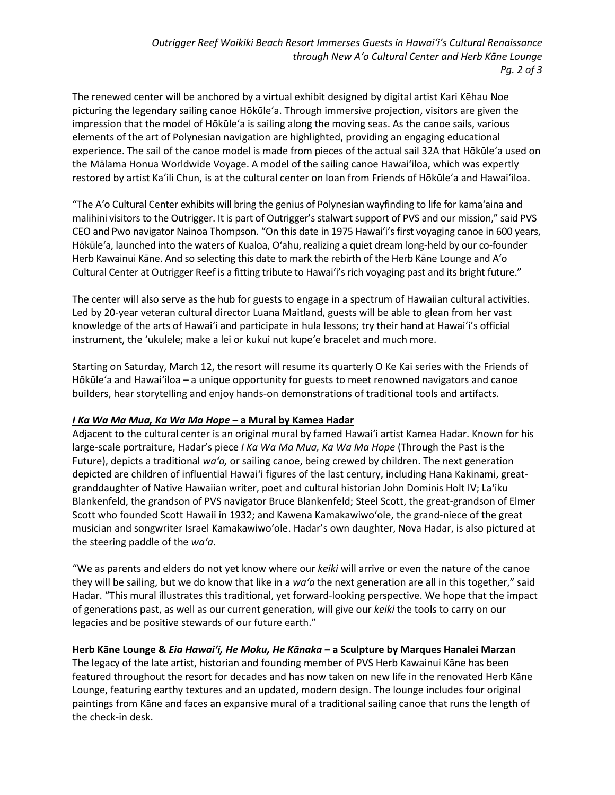The renewed center will be anchored by a virtual exhibit designed by digital artist Kari Kēhau Noe picturing the legendary sailing canoe Hōkūle'a. Through immersive projection, visitors are given the impression that the model of Hōkūle'a is sailing along the moving seas. As the canoe sails, various elements of the art of Polynesian navigation are highlighted, providing an engaging educational experience. The sail of the canoe model is made from pieces of the actual sail 32A that Hōkūle'a used on the Mālama Honua Worldwide Voyage. A model of the sailing canoe Hawai'iloa, which was expertly restored by artist Ka'ili Chun, is at the cultural center on loan from Friends of Hōkūle'a and Hawai'iloa.

"The Aʻo Cultural Center exhibits will bring the genius of Polynesian wayfinding to life for kamaʻaina and malihini visitors to the Outrigger. It is part of Outrigger's stalwart support of PVS and our mission," said PVS CEO and Pwo navigator Nainoa Thompson. "On this date in 1975 Hawaiʻi's first voyaging canoe in 600 years, Hōkūleʻa, launched into the waters of Kualoa, Oʻahu, realizing a quiet dream long-held by our co-founder Herb Kawainui Kāne. And so selecting this date to mark the rebirth of the Herb Kāne Lounge and Aʻo Cultural Center at Outrigger Reef is a fitting tribute to Hawaiʻi's rich voyaging past and its bright future."

The center will also serve as the hub for guests to engage in a spectrum of Hawaiian cultural activities. Led by 20-year veteran cultural director Luana Maitland, guests will be able to glean from her vast knowledge of the arts of Hawai'i and participate in hula lessons; try their hand at Hawai'i's official instrument, the 'ukulele; make a lei or kukui nut kupe'e bracelet and much more.

Starting on Saturday, March 12, the resort will resume its quarterly O Ke Kai series with the Friends of Hōkūleʻa and Hawai'iloa – a unique opportunity for guests to meet renowned navigators and canoe builders, hear storytelling and enjoy hands-on demonstrations of traditional tools and artifacts.

# *I Ka Wa Ma Mua, Ka Wa Ma Hope –* **a Mural by Kamea Hadar**

Adjacent to the cultural center is an original mural by famed Hawai'i artist Kamea Hadar. Known for his large-scale portraiture, Hadar's piece *I Ka Wa Ma Mua, Ka Wa Ma Hope* (Through the Past is the Future), depicts a traditional *wa'a,* or sailing canoe, being crewed by children. The next generation depicted are children of influential Hawai'i figures of the last century, including Hana Kakinami, greatgranddaughter of Native Hawaiian writer, poet and cultural historian John Dominis Holt IV; La'iku Blankenfeld, the grandson of PVS navigator Bruce Blankenfeld; Steel Scott, the great-grandson of Elmer Scott who founded Scott Hawaii in 1932; and Kawena Kamakawiwo'ole, the grand-niece of the great musician and songwriter Israel Kamakawiwo'ole. Hadar's own daughter, Nova Hadar, is also pictured at the steering paddle of the *wa'a*.

"We as parents and elders do not yet know where our *keiki* will arrive or even the nature of the canoe they will be sailing, but we do know that like in a *wa'a* the next generation are all in this together," said Hadar. "This mural illustrates this traditional, yet forward-looking perspective. We hope that the impact of generations past, as well as our current generation, will give our *keiki* the tools to carry on our legacies and be positive stewards of our future earth."

# **Herb Kāne Lounge &** *Eia Hawaiʻi, He Moku, He Kānaka –* **a Sculpture by Marques Hanalei Marzan**

The legacy of the late artist, historian and founding member of PVS Herb Kawainui Kāne has been featured throughout the resort for decades and has now taken on new life in the renovated Herb Kāne Lounge, featuring earthy textures and an updated, modern design. The lounge includes four original paintings from Kāne and faces an expansive mural of a traditional sailing canoe that runs the length of the check-in desk.